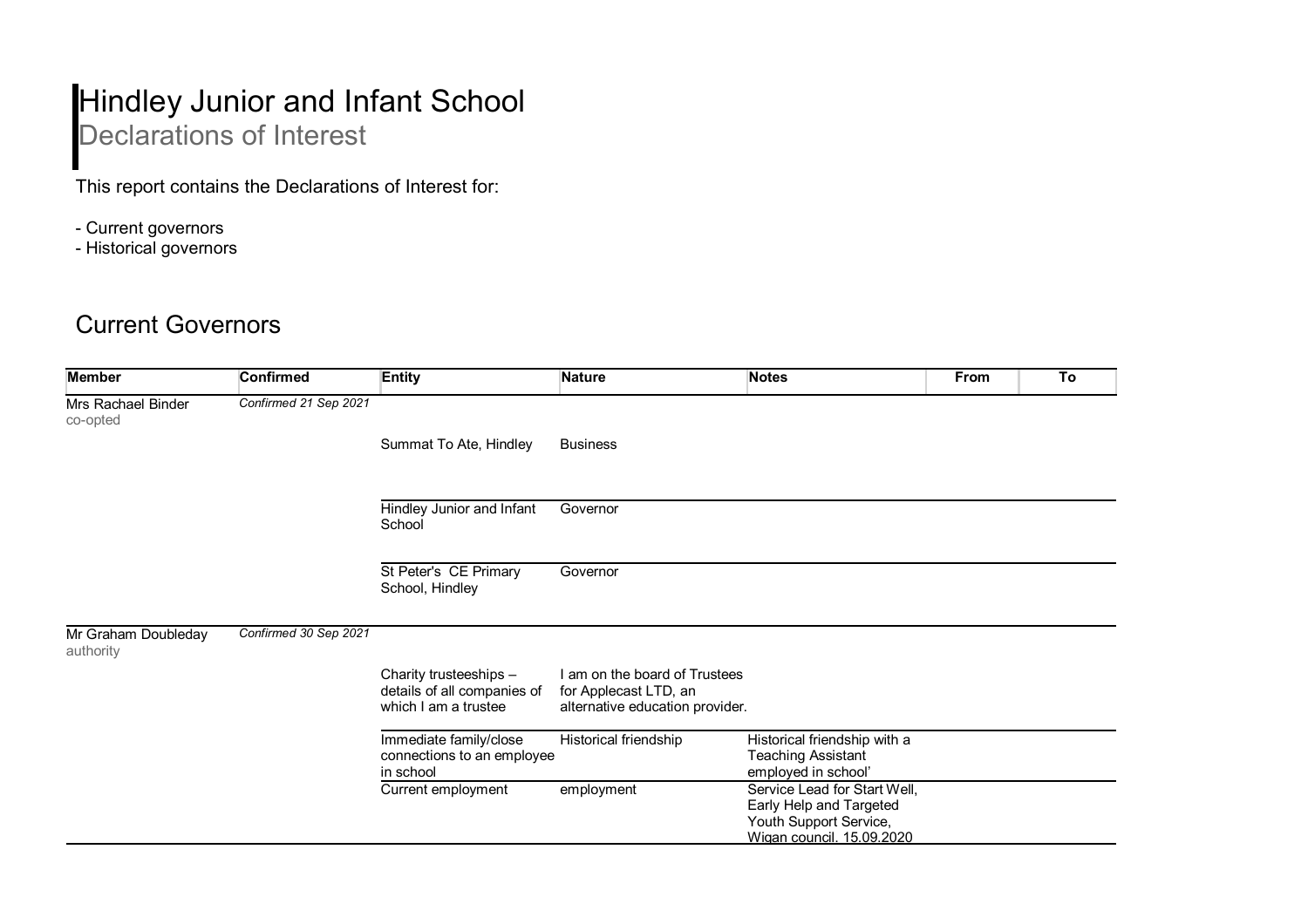## Hindley Junior and Infant School Declarations of Interest

This report contains the Declarations of Interest for:

- Current governors
- Historical governors

## Current Governors

| <b>Member</b>                    | <b>Confirmed</b>      | <b>Entity</b>                                                                 | <b>Nature</b>                                                                             | <b>Notes</b>                                                                                                   | From | To |
|----------------------------------|-----------------------|-------------------------------------------------------------------------------|-------------------------------------------------------------------------------------------|----------------------------------------------------------------------------------------------------------------|------|----|
| Mrs Rachael Binder<br>co-opted   | Confirmed 21 Sep 2021 |                                                                               |                                                                                           |                                                                                                                |      |    |
|                                  |                       | Summat To Ate, Hindley                                                        | <b>Business</b>                                                                           |                                                                                                                |      |    |
|                                  |                       | Hindley Junior and Infant<br>School                                           | Governor                                                                                  |                                                                                                                |      |    |
|                                  |                       | St Peter's CE Primary<br>School, Hindley                                      | Governor                                                                                  |                                                                                                                |      |    |
| Mr Graham Doubleday<br>authority | Confirmed 30 Sep 2021 |                                                                               |                                                                                           |                                                                                                                |      |    |
|                                  |                       | Charity trusteeships -<br>details of all companies of<br>which I am a trustee | I am on the board of Trustees<br>for Applecast LTD, an<br>alternative education provider. |                                                                                                                |      |    |
|                                  |                       | Immediate family/close<br>connections to an employee<br>in school             | Historical friendship                                                                     | Historical friendship with a<br><b>Teaching Assistant</b><br>employed in school'                               |      |    |
|                                  |                       | Current employment                                                            | employment                                                                                | Service Lead for Start Well,<br>Early Help and Targeted<br>Youth Support Service,<br>Wigan council. 15.09.2020 |      |    |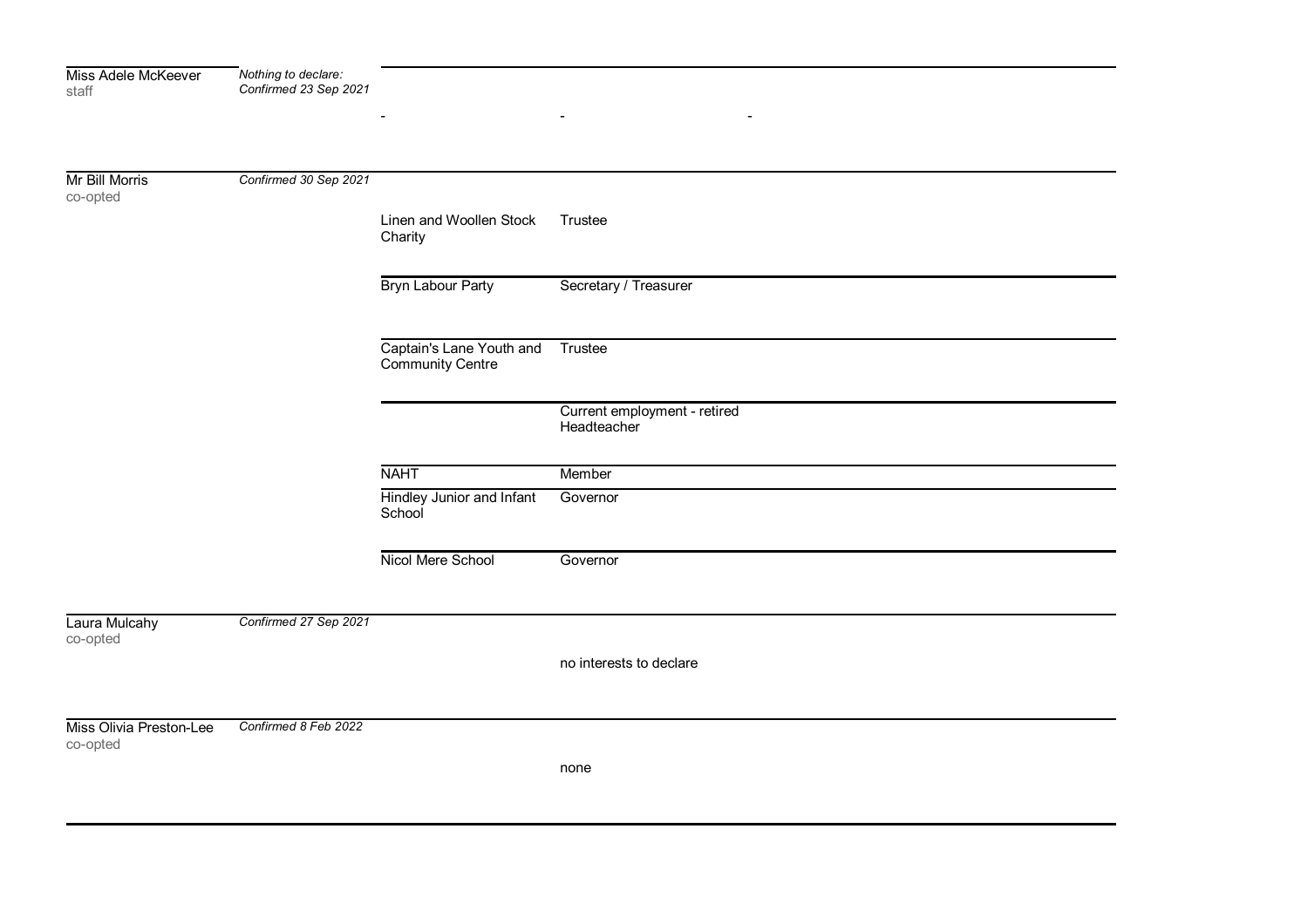| Miss Adele McKeever<br>staff        | Nothing to declare:<br>Confirmed 23 Sep 2021 |                                              |                                             |
|-------------------------------------|----------------------------------------------|----------------------------------------------|---------------------------------------------|
|                                     |                                              |                                              | $\overline{\phantom{a}}$                    |
| Mr Bill Morris<br>co-opted          | Confirmed 30 Sep 2021                        |                                              |                                             |
|                                     |                                              | Linen and Woollen Stock<br>Charity           | Trustee                                     |
|                                     |                                              | Bryn Labour Party                            | Secretary / Treasurer                       |
|                                     |                                              | Captain's Lane Youth and<br>Community Centre | Trustee                                     |
|                                     |                                              |                                              | Current employment - retired<br>Headteacher |
|                                     |                                              | <b>NAHT</b>                                  | Member                                      |
|                                     |                                              | <b>Hindley Junior and Infant</b><br>School   | Governor                                    |
|                                     |                                              | Nicol Mere School                            | Governor                                    |
| Laura Mulcahy<br>co-opted           | Confirmed 27 Sep 2021                        |                                              |                                             |
|                                     |                                              |                                              | no interests to declare                     |
| Miss Olivia Preston-Lee<br>co-opted | Confirmed 8 Feb 2022                         |                                              |                                             |
|                                     |                                              |                                              | none                                        |